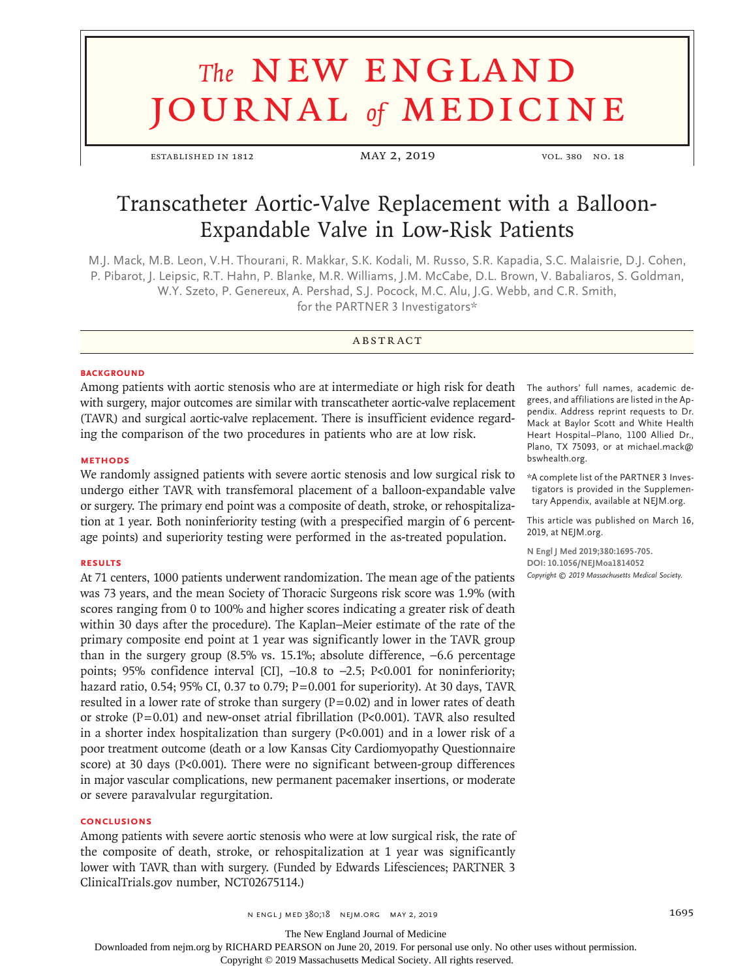# **The NEW ENGLAND** journal *of* medicine

established in 1812 May 2, 2019 vol. 380 no. 18

# Transcatheter Aortic-Valve Replacement with a Balloon-Expandable Valve in Low-Risk Patients

M.J. Mack, M.B. Leon, V.H. Thourani, R. Makkar, S.K. Kodali, M. Russo, S.R. Kapadia, S.C. Malaisrie, D.J. Cohen, P. Pibarot, J. Leipsic, R.T. Hahn, P. Blanke, M.R. Williams, J.M. McCabe, D.L. Brown, V. Babaliaros, S. Goldman, W.Y. Szeto, P. Genereux, A. Pershad, S.J. Pocock, M.C. Alu, J.G. Webb, and C.R. Smith, for the PARTNER 3 Investigators\*

# **ABSTRACT**

#### **BACKGROUND**

Among patients with aortic stenosis who are at intermediate or high risk for death with surgery, major outcomes are similar with transcatheter aortic-valve replacement (TAVR) and surgical aortic-valve replacement. There is insufficient evidence regarding the comparison of the two procedures in patients who are at low risk.

# **METHODS**

We randomly assigned patients with severe aortic stenosis and low surgical risk to undergo either TAVR with transfemoral placement of a balloon-expandable valve or surgery. The primary end point was a composite of death, stroke, or rehospitalization at 1 year. Both noninferiority testing (with a prespecified margin of 6 percentage points) and superiority testing were performed in the as-treated population.

## **RESULTS**

At 71 centers, 1000 patients underwent randomization. The mean age of the patients was 73 years, and the mean Society of Thoracic Surgeons risk score was 1.9% (with scores ranging from 0 to 100% and higher scores indicating a greater risk of death within 30 days after the procedure). The Kaplan–Meier estimate of the rate of the primary composite end point at 1 year was significantly lower in the TAVR group than in the surgery group (8.5% vs. 15.1%; absolute difference, −6.6 percentage points; 95% confidence interval [CI], -10.8 to -2.5; P<0.001 for noninferiority; hazard ratio, 0.54; 95% CI, 0.37 to 0.79; P=0.001 for superiority). At 30 days, TAVR resulted in a lower rate of stroke than surgery  $(P=0.02)$  and in lower rates of death or stroke ( $P=0.01$ ) and new-onset atrial fibrillation ( $P<0.001$ ). TAVR also resulted in a shorter index hospitalization than surgery (P<0.001) and in a lower risk of a poor treatment outcome (death or a low Kansas City Cardiomyopathy Questionnaire score) at 30 days (P<0.001). There were no significant between-group differences in major vascular complications, new permanent pacemaker insertions, or moderate or severe paravalvular regurgitation.

# **CONCLUSIONS**

Among patients with severe aortic stenosis who were at low surgical risk, the rate of the composite of death, stroke, or rehospitalization at 1 year was significantly lower with TAVR than with surgery. (Funded by Edwards Lifesciences; PARTNER 3 ClinicalTrials.gov number, NCT02675114.)

The authors' full names, academic degrees, and affiliations are listed in the Appendix. Address reprint requests to Dr. Mack at Baylor Scott and White Health Heart Hospital–Plano, 1100 Allied Dr., Plano, TX 75093, or at michael.mack@ bswhealth.org.

\*A complete list of the PARTNER 3 Investigators is provided in the Supplementary Appendix, available at NEJM.org.

This article was published on March 16, 2019, at NEJM.org.

**N Engl J Med 2019;380:1695-705. DOI: 10.1056/NEJMoa1814052** *Copyright © 2019 Massachusetts Medical Society.*

The New England Journal of Medicine

Downloaded from nejm.org by RICHARD PEARSON on June 20, 2019. For personal use only. No other uses without permission.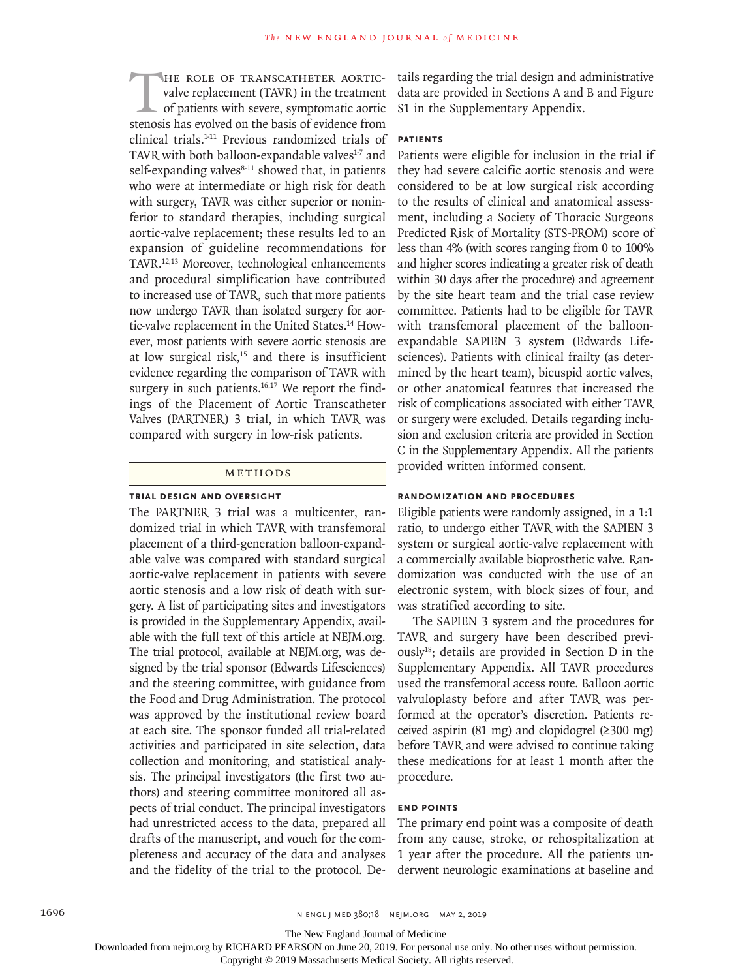HE ROLE OF TRANSCATHETER AORTIC-<br>valve replacement (TAVR) in the treatment<br>of patients with severe, symptomatic aortic<br>stenosis has evolved on the basis of evidence from valve replacement (TAVR) in the treatment of patients with severe, symptomatic aortic stenosis has evolved on the basis of evidence from clinical trials.1-11 Previous randomized trials of TAVR with both balloon-expandable valves<sup>1-7</sup> and self-expanding valves $8-11$  showed that, in patients who were at intermediate or high risk for death with surgery, TAVR was either superior or noninferior to standard therapies, including surgical aortic-valve replacement; these results led to an expansion of guideline recommendations for TAVR.12,13 Moreover, technological enhancements and procedural simplification have contributed to increased use of TAVR, such that more patients now undergo TAVR than isolated surgery for aortic-valve replacement in the United States.<sup>14</sup> However, most patients with severe aortic stenosis are at low surgical risk, $15$  and there is insufficient evidence regarding the comparison of TAVR with surgery in such patients. $16,17$  We report the findings of the Placement of Aortic Transcatheter Valves (PARTNER) 3 trial, in which TAVR was compared with surgery in low-risk patients.

#### Methods

# **Trial Design and Oversight**

The PARTNER 3 trial was a multicenter, randomized trial in which TAVR with transfemoral placement of a third-generation balloon-expandable valve was compared with standard surgical aortic-valve replacement in patients with severe aortic stenosis and a low risk of death with surgery. A list of participating sites and investigators is provided in the Supplementary Appendix, available with the full text of this article at NEJM.org. The trial protocol, available at NEJM.org, was designed by the trial sponsor (Edwards Lifesciences) and the steering committee, with guidance from the Food and Drug Administration. The protocol was approved by the institutional review board at each site. The sponsor funded all trial-related activities and participated in site selection, data collection and monitoring, and statistical analysis. The principal investigators (the first two authors) and steering committee monitored all aspects of trial conduct. The principal investigators had unrestricted access to the data, prepared all drafts of the manuscript, and vouch for the completeness and accuracy of the data and analyses and the fidelity of the trial to the protocol. Details regarding the trial design and administrative data are provided in Sections A and B and Figure S1 in the Supplementary Appendix.

# **Patients**

Patients were eligible for inclusion in the trial if they had severe calcific aortic stenosis and were considered to be at low surgical risk according to the results of clinical and anatomical assessment, including a Society of Thoracic Surgeons Predicted Risk of Mortality (STS-PROM) score of less than 4% (with scores ranging from 0 to 100% and higher scores indicating a greater risk of death within 30 days after the procedure) and agreement by the site heart team and the trial case review committee. Patients had to be eligible for TAVR with transfemoral placement of the balloonexpandable SAPIEN 3 system (Edwards Lifesciences). Patients with clinical frailty (as determined by the heart team), bicuspid aortic valves, or other anatomical features that increased the risk of complications associated with either TAVR or surgery were excluded. Details regarding inclusion and exclusion criteria are provided in Section C in the Supplementary Appendix. All the patients provided written informed consent.

# **Randomization and Procedures**

Eligible patients were randomly assigned, in a 1:1 ratio, to undergo either TAVR with the SAPIEN 3 system or surgical aortic-valve replacement with a commercially available bioprosthetic valve. Randomization was conducted with the use of an electronic system, with block sizes of four, and was stratified according to site.

The SAPIEN 3 system and the procedures for TAVR and surgery have been described previously18; details are provided in Section D in the Supplementary Appendix. All TAVR procedures used the transfemoral access route. Balloon aortic valvuloplasty before and after TAVR was performed at the operator's discretion. Patients received aspirin (81 mg) and clopidogrel (≥300 mg) before TAVR and were advised to continue taking these medications for at least 1 month after the procedure.

# **End Points**

The primary end point was a composite of death from any cause, stroke, or rehospitalization at 1 year after the procedure. All the patients underwent neurologic examinations at baseline and

The New England Journal of Medicine

Downloaded from nejm.org by RICHARD PEARSON on June 20, 2019. For personal use only. No other uses without permission.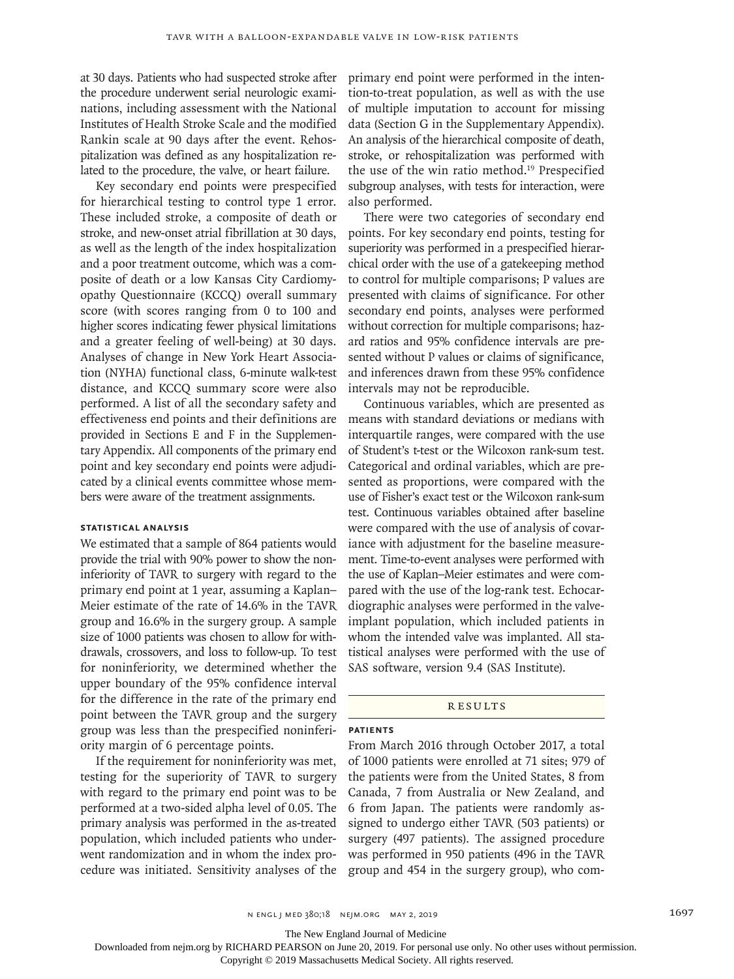at 30 days. Patients who had suspected stroke after the procedure underwent serial neurologic examinations, including assessment with the National Institutes of Health Stroke Scale and the modified Rankin scale at 90 days after the event. Rehospitalization was defined as any hospitalization related to the procedure, the valve, or heart failure.

Key secondary end points were prespecified for hierarchical testing to control type 1 error. These included stroke, a composite of death or stroke, and new-onset atrial fibrillation at 30 days, as well as the length of the index hospitalization and a poor treatment outcome, which was a composite of death or a low Kansas City Cardiomyopathy Questionnaire (KCCQ) overall summary score (with scores ranging from 0 to 100 and higher scores indicating fewer physical limitations and a greater feeling of well-being) at 30 days. Analyses of change in New York Heart Association (NYHA) functional class, 6-minute walk-test distance, and KCCQ summary score were also performed. A list of all the secondary safety and effectiveness end points and their definitions are provided in Sections E and F in the Supplementary Appendix. All components of the primary end point and key secondary end points were adjudicated by a clinical events committee whose members were aware of the treatment assignments.

#### **Statistical Analysis**

We estimated that a sample of 864 patients would provide the trial with 90% power to show the noninferiority of TAVR to surgery with regard to the primary end point at 1 year, assuming a Kaplan– Meier estimate of the rate of 14.6% in the TAVR group and 16.6% in the surgery group. A sample size of 1000 patients was chosen to allow for withdrawals, crossovers, and loss to follow-up. To test for noninferiority, we determined whether the upper boundary of the 95% confidence interval for the difference in the rate of the primary end point between the TAVR group and the surgery group was less than the prespecified noninferiority margin of 6 percentage points.

If the requirement for noninferiority was met, testing for the superiority of TAVR to surgery with regard to the primary end point was to be performed at a two-sided alpha level of 0.05. The primary analysis was performed in the as-treated population, which included patients who underwent randomization and in whom the index procedure was initiated. Sensitivity analyses of the primary end point were performed in the intention-to-treat population, as well as with the use of multiple imputation to account for missing data (Section G in the Supplementary Appendix). An analysis of the hierarchical composite of death, stroke, or rehospitalization was performed with the use of the win ratio method.<sup>19</sup> Prespecified subgroup analyses, with tests for interaction, were also performed.

There were two categories of secondary end points. For key secondary end points, testing for superiority was performed in a prespecified hierarchical order with the use of a gatekeeping method to control for multiple comparisons; P values are presented with claims of significance. For other secondary end points, analyses were performed without correction for multiple comparisons; hazard ratios and 95% confidence intervals are presented without P values or claims of significance, and inferences drawn from these 95% confidence intervals may not be reproducible.

Continuous variables, which are presented as means with standard deviations or medians with interquartile ranges, were compared with the use of Student's t-test or the Wilcoxon rank-sum test. Categorical and ordinal variables, which are presented as proportions, were compared with the use of Fisher's exact test or the Wilcoxon rank-sum test. Continuous variables obtained after baseline were compared with the use of analysis of covariance with adjustment for the baseline measurement. Time-to-event analyses were performed with the use of Kaplan–Meier estimates and were compared with the use of the log-rank test. Echocardiographic analyses were performed in the valveimplant population, which included patients in whom the intended valve was implanted. All statistical analyses were performed with the use of SAS software, version 9.4 (SAS Institute).

#### **RESULTS**

# **Patients**

From March 2016 through October 2017, a total of 1000 patients were enrolled at 71 sites; 979 of the patients were from the United States, 8 from Canada, 7 from Australia or New Zealand, and 6 from Japan. The patients were randomly assigned to undergo either TAVR (503 patients) or surgery (497 patients). The assigned procedure was performed in 950 patients (496 in the TAVR group and 454 in the surgery group), who com-

The New England Journal of Medicine

Downloaded from nejm.org by RICHARD PEARSON on June 20, 2019. For personal use only. No other uses without permission.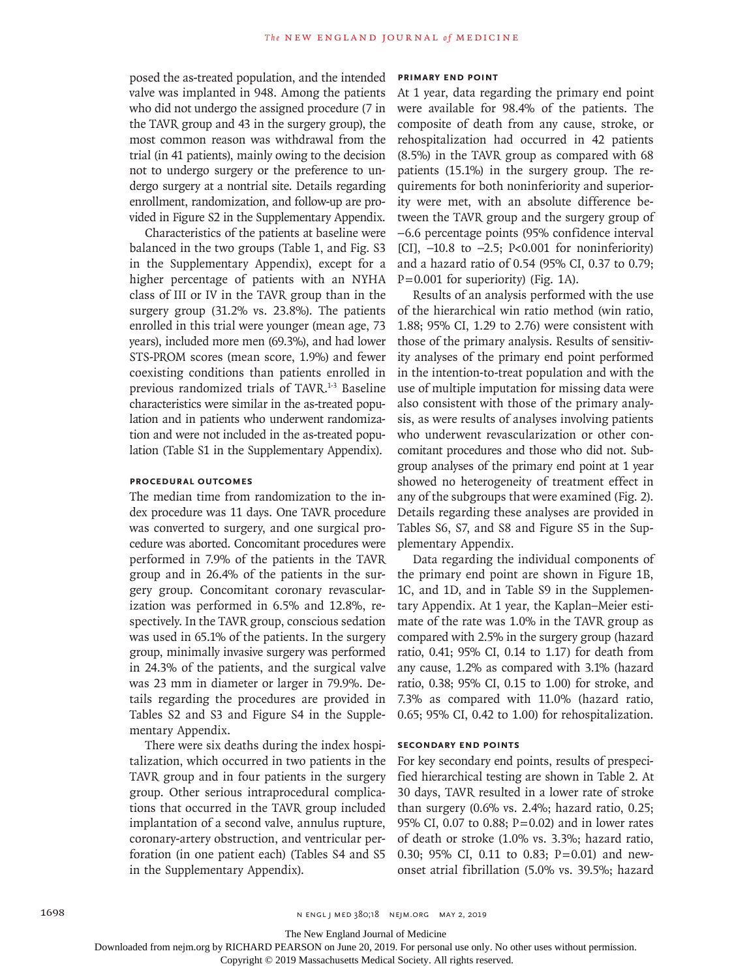posed the as-treated population, and the intended valve was implanted in 948. Among the patients who did not undergo the assigned procedure (7 in the TAVR group and 43 in the surgery group), the most common reason was withdrawal from the trial (in 41 patients), mainly owing to the decision not to undergo surgery or the preference to undergo surgery at a nontrial site. Details regarding enrollment, randomization, and follow-up are provided in Figure S2 in the Supplementary Appendix.

Characteristics of the patients at baseline were balanced in the two groups (Table 1, and Fig. S3 in the Supplementary Appendix), except for a higher percentage of patients with an NYHA class of III or IV in the TAVR group than in the surgery group (31.2% vs. 23.8%). The patients enrolled in this trial were younger (mean age, 73 years), included more men (69.3%), and had lower STS-PROM scores (mean score, 1.9%) and fewer coexisting conditions than patients enrolled in previous randomized trials of TAVR.<sup>1-3</sup> Baseline characteristics were similar in the as-treated population and in patients who underwent randomization and were not included in the as-treated population (Table S1 in the Supplementary Appendix).

# **Procedural Outcomes**

The median time from randomization to the index procedure was 11 days. One TAVR procedure was converted to surgery, and one surgical procedure was aborted. Concomitant procedures were performed in 7.9% of the patients in the TAVR group and in 26.4% of the patients in the surgery group. Concomitant coronary revascularization was performed in 6.5% and 12.8%, respectively. In the TAVR group, conscious sedation was used in 65.1% of the patients. In the surgery group, minimally invasive surgery was performed in 24.3% of the patients, and the surgical valve was 23 mm in diameter or larger in 79.9%. Details regarding the procedures are provided in Tables S2 and S3 and Figure S4 in the Supplementary Appendix.

There were six deaths during the index hospitalization, which occurred in two patients in the TAVR group and in four patients in the surgery group. Other serious intraprocedural complications that occurred in the TAVR group included implantation of a second valve, annulus rupture, coronary-artery obstruction, and ventricular perforation (in one patient each) (Tables S4 and S5 in the Supplementary Appendix).

#### **Primary End Point**

At 1 year, data regarding the primary end point were available for 98.4% of the patients. The composite of death from any cause, stroke, or rehospitalization had occurred in 42 patients (8.5%) in the TAVR group as compared with 68 patients (15.1%) in the surgery group. The requirements for both noninferiority and superiority were met, with an absolute difference between the TAVR group and the surgery group of −6.6 percentage points (95% confidence interval [CI], −10.8 to −2.5; P<0.001 for noninferiority) and a hazard ratio of 0.54 (95% CI, 0.37 to 0.79;  $P=0.001$  for superiority) (Fig. 1A).

Results of an analysis performed with the use of the hierarchical win ratio method (win ratio, 1.88; 95% CI, 1.29 to 2.76) were consistent with those of the primary analysis. Results of sensitivity analyses of the primary end point performed in the intention-to-treat population and with the use of multiple imputation for missing data were also consistent with those of the primary analysis, as were results of analyses involving patients who underwent revascularization or other concomitant procedures and those who did not. Subgroup analyses of the primary end point at 1 year showed no heterogeneity of treatment effect in any of the subgroups that were examined (Fig. 2). Details regarding these analyses are provided in Tables S6, S7, and S8 and Figure S5 in the Supplementary Appendix.

Data regarding the individual components of the primary end point are shown in Figure 1B, 1C, and 1D, and in Table S9 in the Supplementary Appendix. At 1 year, the Kaplan–Meier estimate of the rate was 1.0% in the TAVR group as compared with 2.5% in the surgery group (hazard ratio, 0.41; 95% CI, 0.14 to 1.17) for death from any cause, 1.2% as compared with 3.1% (hazard ratio, 0.38; 95% CI, 0.15 to 1.00) for stroke, and 7.3% as compared with 11.0% (hazard ratio, 0.65; 95% CI, 0.42 to 1.00) for rehospitalization.

#### **Secondary End Points**

For key secondary end points, results of prespecified hierarchical testing are shown in Table 2. At 30 days, TAVR resulted in a lower rate of stroke than surgery (0.6% vs. 2.4%; hazard ratio, 0.25; 95% CI, 0.07 to 0.88; P=0.02) and in lower rates of death or stroke (1.0% vs. 3.3%; hazard ratio, 0.30; 95% CI, 0.11 to 0.83; P=0.01) and newonset atrial fibrillation (5.0% vs. 39.5%; hazard

The New England Journal of Medicine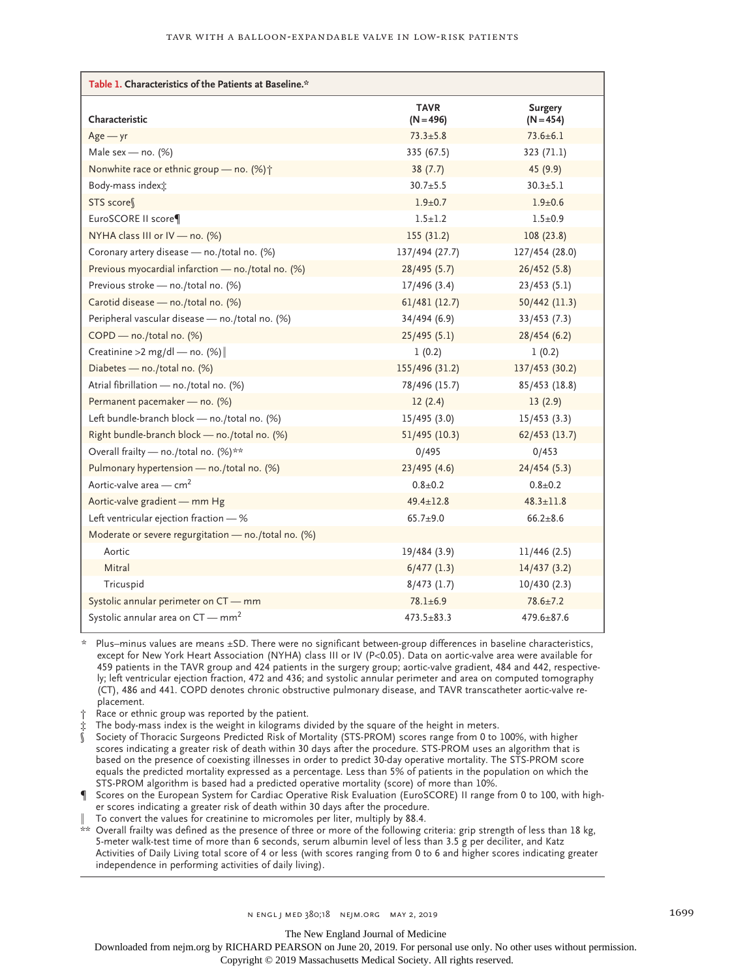| Table 1. Characteristics of the Patients at Baseline.* |                            |                               |  |  |  |  |
|--------------------------------------------------------|----------------------------|-------------------------------|--|--|--|--|
| Characteristic                                         | <b>TAVR</b><br>$(N = 496)$ | <b>Surgery</b><br>$(N = 454)$ |  |  |  |  |
| $Age - yr$                                             | $73.3 \pm 5.8$             | $73.6 \pm 6.1$                |  |  |  |  |
| Male sex - no. $(%)$                                   | 335 (67.5)                 | 323 (71.1)                    |  |  |  |  |
| Nonwhite race or ethnic group - no. (%) +              | 38(7.7)                    | 45(9.9)                       |  |  |  |  |
| Body-mass index <sup>+</sup>                           | $30.7 + 5.5$               | $30.3 \pm 5.1$                |  |  |  |  |
| STS score                                              | $1.9 + 0.7$                | $1.9 + 0.6$                   |  |  |  |  |
| EuroSCORE II score¶                                    | $1.5 + 1.2$                | $1.5 + 0.9$                   |  |  |  |  |
| NYHA class III or IV - no. (%)                         | 155(31.2)                  | 108(23.8)                     |  |  |  |  |
| Coronary artery disease - no./total no. (%)            | 137/494 (27.7)             | 127/454 (28.0)                |  |  |  |  |
| Previous myocardial infarction - no./total no. (%)     | 28/495(5.7)                | 26/452(5.8)                   |  |  |  |  |
| Previous stroke - no./total no. (%)                    | 17/496(3.4)                | 23/453(5.1)                   |  |  |  |  |
| Carotid disease - no./total no. (%)                    | 61/481(12.7)               | 50/442 (11.3)                 |  |  |  |  |
| Peripheral vascular disease - no./total no. (%)        | 34/494 (6.9)               | 33/453(7.3)                   |  |  |  |  |
| COPD - no./total no. (%)                               | 25/495(5.1)                | 28/454(6.2)                   |  |  |  |  |
| Creatinine > 2 mg/dl — no. $(\%)$                      | 1(0.2)                     | 1(0.2)                        |  |  |  |  |
| Diabetes - no./total no. (%)                           | 155/496 (31.2)             | 137/453 (30.2)                |  |  |  |  |
| Atrial fibrillation - no./total no. (%)                | 78/496 (15.7)              | 85/453 (18.8)                 |  |  |  |  |
| Permanent pacemaker - no. (%)                          | 12(2.4)                    | 13(2.9)                       |  |  |  |  |
| Left bundle-branch block - no./total no. (%)           | 15/495(3.0)                | 15/453(3.3)                   |  |  |  |  |
| Right bundle-branch block - no./total no. (%)          | 51/495 (10.3)              | 62/453 (13.7)                 |  |  |  |  |
| Overall frailty - no./total no. (%)**                  | 0/495                      | 0/453                         |  |  |  |  |
| Pulmonary hypertension - no./total no. (%)             | 23/495(4.6)                | 24/454(5.3)                   |  |  |  |  |
| Aortic-valve area $-$ cm <sup>2</sup>                  | $0.8 + 0.2$                | $0.8 + 0.2$                   |  |  |  |  |
| Aortic-valve gradient - mm Hg                          | $49.4 \pm 12.8$            | $48.3 \pm 11.8$               |  |  |  |  |
| Left ventricular ejection fraction - %                 | $65.7 + 9.0$               | $66.2 + 8.6$                  |  |  |  |  |
| Moderate or severe regurgitation - no./total no. (%)   |                            |                               |  |  |  |  |
| Aortic                                                 | 19/484 (3.9)               | 11/446(2.5)                   |  |  |  |  |
| Mitral                                                 | 6/477(1.3)                 | 14/437(3.2)                   |  |  |  |  |
| Tricuspid                                              | $8/473$ (1.7)              | 10/430(2.3)                   |  |  |  |  |
| Systolic annular perimeter on CT - mm                  | $78.1 + 6.9$               | $78.6 \pm 7.2$                |  |  |  |  |
| Systolic annular area on $CT - mm^2$                   | $473.5 + 83.3$             | $479.6 + 87.6$                |  |  |  |  |

\* Plus–minus values are means ±SD. There were no significant between-group differences in baseline characteristics, except for New York Heart Association (NYHA) class III or IV (P<0.05). Data on aortic-valve area were available for 459 patients in the TAVR group and 424 patients in the surgery group; aortic-valve gradient, 484 and 442, respectively; left ventricular ejection fraction, 472 and 436; and systolic annular perimeter and area on computed tomography (CT), 486 and 441. COPD denotes chronic obstructive pulmonary disease, and TAVR transcatheter aortic-valve replacement.

- Race or ethnic group was reported by the patient.
- The body-mass index is the weight in kilograms divided by the square of the height in meters.
- § Society of Thoracic Surgeons Predicted Risk of Mortality (STS-PROM) scores range from 0 to 100%, with higher scores indicating a greater risk of death within 30 days after the procedure. STS-PROM uses an algorithm that is based on the presence of coexisting illnesses in order to predict 30-day operative mortality. The STS-PROM score equals the predicted mortality expressed as a percentage. Less than 5% of patients in the population on which the STS-PROM algorithm is based had a predicted operative mortality (score) of more than 10%.
- Scores on the European System for Cardiac Operative Risk Evaluation (EuroSCORE) II range from 0 to 100, with higher scores indicating a greater risk of death within 30 days after the procedure.
- To convert the values for creatinine to micromoles per liter, multiply by 88.4.

\*\* Overall frailty was defined as the presence of three or more of the following criteria: grip strength of less than 18 kg, 5-meter walk-test time of more than 6 seconds, serum albumin level of less than 3.5 g per deciliter, and Katz Activities of Daily Living total score of 4 or less (with scores ranging from 0 to 6 and higher scores indicating greater independence in performing activities of daily living).

The New England Journal of Medicine

Downloaded from nejm.org by RICHARD PEARSON on June 20, 2019. For personal use only. No other uses without permission.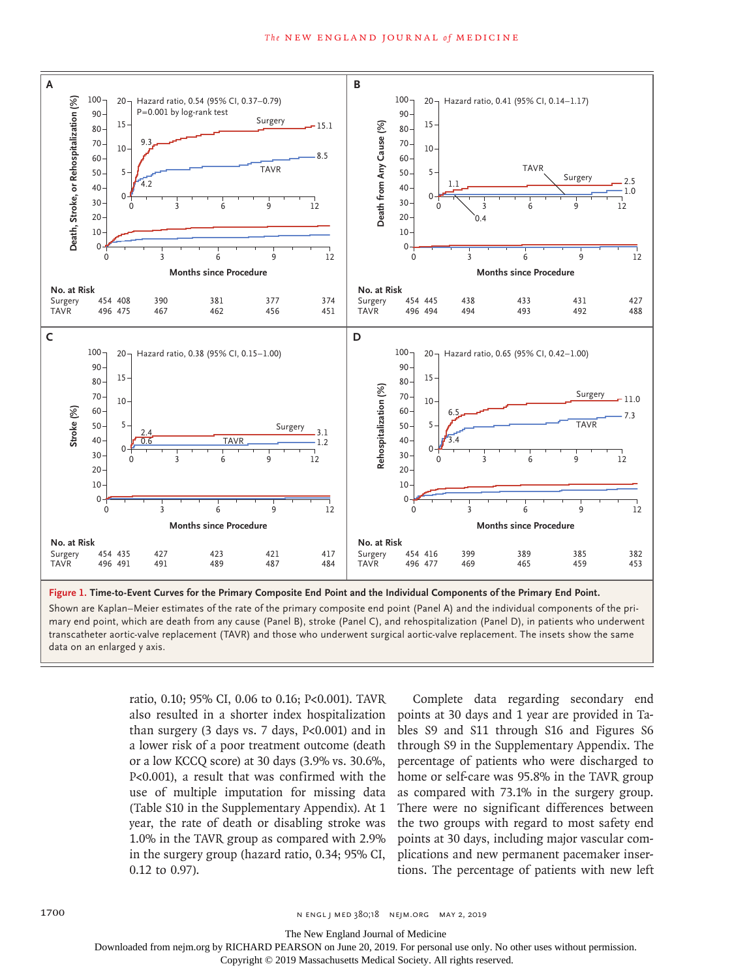

Shown are Kaplan–Meier estimates of the rate of the primary composite end point (Panel A) and the individual components of the primary end point, which are death from any cause (Panel B), stroke (Panel C), and rehospitalization (Panel D), in patients who underwent transcatheter aortic-valve replacement (TAVR) and those who underwent surgical aortic-valve replacement. The insets show the same

> ratio, 0.10; 95% CI, 0.06 to 0.16; P<0.001). TAVR also resulted in a shorter index hospitalization than surgery (3 days vs. 7 days, P<0.001) and in a lower risk of a poor treatment outcome (death or a low KCCQ score) at 30 days (3.9% vs. 30.6%, P<0.001), a result that was confirmed with the use of multiple imputation for missing data (Table S10 in the Supplementary Appendix). At 1 year, the rate of death or disabling stroke was 1.0% in the TAVR group as compared with 2.9% in the surgery group (hazard ratio, 0.34; 95% CI, 0.12 to 0.97).

Complete data regarding secondary end points at 30 days and 1 year are provided in Tables S9 and S11 through S16 and Figures S6 through S9 in the Supplementary Appendix. The percentage of patients who were discharged to home or self-care was 95.8% in the TAVR group as compared with 73.1% in the surgery group. There were no significant differences between the two groups with regard to most safety end points at 30 days, including major vascular complications and new permanent pacemaker insertions. The percentage of patients with new left

The New England Journal of Medicine

Downloaded from nejm.org by RICHARD PEARSON on June 20, 2019. For personal use only. No other uses without permission.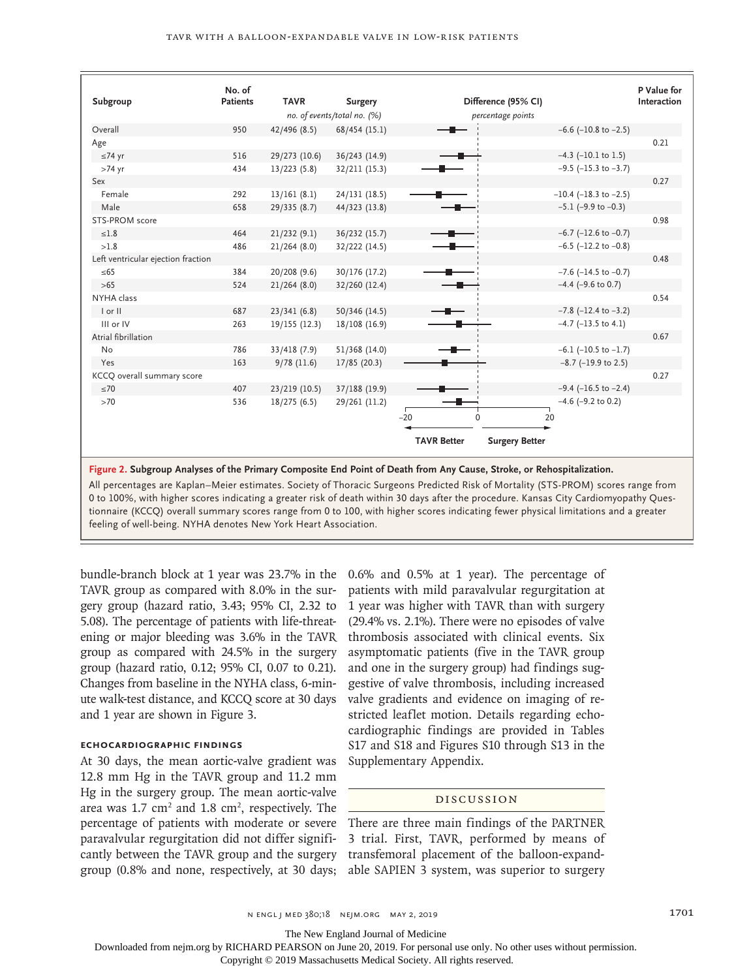|                                    | No. of          |                             |                |                    |                               | P Value for |
|------------------------------------|-----------------|-----------------------------|----------------|--------------------|-------------------------------|-------------|
| Subgroup                           | <b>Patients</b> | <b>TAVR</b>                 | <b>Surgery</b> |                    | Difference (95% CI)           | Interaction |
|                                    |                 | no. of events/total no. (%) |                | percentage points  |                               |             |
| Overall                            | 950             | 42/496 (8.5)                | 68/454 (15.1)  |                    | $-6.6$ ( $-10.8$ to $-2.5$ )  |             |
| Age                                |                 |                             |                |                    |                               | 0.21        |
| $≤74$ yr                           | 516             | 29/273 (10.6)               | 36/243 (14.9)  |                    | $-4.3$ ( $-10.1$ to 1.5)      |             |
| $>74$ yr                           | 434             | 13/223(5.8)                 | 32/211 (15.3)  |                    | $-9.5$ ( $-15.3$ to $-3.7$ )  |             |
| Sex                                |                 |                             |                |                    |                               | 0.27        |
| Female                             | 292             | 13/161(8.1)                 | 24/131 (18.5)  |                    | $-10.4$ ( $-18.3$ to $-2.5$ ) |             |
| Male                               | 658             | 29/335(8.7)                 | 44/323 (13.8)  |                    | $-5.1$ (-9.9 to $-0.3$ )      |             |
| STS-PROM score                     |                 |                             |                |                    |                               | 0.98        |
| $\leq 1.8$                         | 464             | 21/232(9.1)                 | 36/232 (15.7)  |                    | $-6.7$ ( $-12.6$ to $-0.7$ )  |             |
| >1.8                               | 486             | 21/264(8.0)                 | 32/222 (14.5)  |                    | $-6.5$ ( $-12.2$ to $-0.8$ )  |             |
| Left ventricular ejection fraction |                 |                             |                |                    |                               | 0.48        |
| $\leq 65$                          | 384             | 20/208 (9.6)                | 30/176 (17.2)  |                    | $-7.6$ ( $-14.5$ to $-0.7$ )  |             |
| $>65$                              | 524             | 21/264(8.0)                 | 32/260 (12.4)  |                    | $-4.4$ (-9.6 to 0.7)          |             |
| NYHA class                         |                 |                             |                |                    |                               | 0.54        |
| I or II                            | 687             | 23/341(6.8)                 | 50/346 (14.5)  |                    | $-7.8$ ( $-12.4$ to $-3.2$ )  |             |
| III or IV                          | 263             | 19/155(12.3)                | 18/108 (16.9)  |                    | $-4.7$ ( $-13.5$ to $4.1$ )   |             |
| Atrial fibrillation                |                 |                             |                |                    |                               | 0.67        |
| <b>No</b>                          | 786             | 33/418 (7.9)                | 51/368 (14.0)  |                    | $-6.1$ ( $-10.5$ to $-1.7$ )  |             |
| Yes                                | 163             | 9/78(11.6)                  | 17/85 (20.3)   |                    | $-8.7$ ( $-19.9$ to 2.5)      |             |
| KCCQ overall summary score         |                 |                             |                |                    |                               | 0.27        |
| $\leq 70$                          | 407             | 23/219 (10.5)               | 37/188 (19.9)  |                    | $-9.4$ ( $-16.5$ to $-2.4$ )  |             |
| >70                                | 536             | 18/275(6.5)                 | 29/261 (11.2)  |                    | $-4.6$ ( $-9.2$ to 0.2)       |             |
|                                    |                 |                             |                | $-20$<br>$\Omega$  | 20                            |             |
|                                    |                 |                             |                |                    |                               |             |
|                                    |                 |                             |                | <b>TAVR Better</b> | <b>Surgery Better</b>         |             |

**Figure 2. Subgroup Analyses of the Primary Composite End Point of Death from Any Cause, Stroke, or Rehospitalization.**

All percentages are Kaplan–Meier estimates. Society of Thoracic Surgeons Predicted Risk of Mortality (STS-PROM) scores range from 0 to 100%, with higher scores indicating a greater risk of death within 30 days after the procedure. Kansas City Cardiomyopathy Questionnaire (KCCQ) overall summary scores range from 0 to 100, with higher scores indicating fewer physical limitations and a greater feeling of well-being. NYHA denotes New York Heart Association.

bundle-branch block at 1 year was 23.7% in the TAVR group as compared with 8.0% in the surgery group (hazard ratio, 3.43; 95% CI, 2.32 to 5.08). The percentage of patients with life-threatening or major bleeding was 3.6% in the TAVR group as compared with 24.5% in the surgery group (hazard ratio, 0.12; 95% CI, 0.07 to 0.21). Changes from baseline in the NYHA class, 6-minute walk-test distance, and KCCQ score at 30 days and 1 year are shown in Figure 3.

# **Echocardiographic Findings**

At 30 days, the mean aortic-valve gradient was 12.8 mm Hg in the TAVR group and 11.2 mm Hg in the surgery group. The mean aortic-valve area was  $1.7 \text{ cm}^2$  and  $1.8 \text{ cm}^2$ , respectively. The percentage of patients with moderate or severe paravalvular regurgitation did not differ significantly between the TAVR group and the surgery group (0.8% and none, respectively, at 30 days;

0.6% and 0.5% at 1 year). The percentage of patients with mild paravalvular regurgitation at 1 year was higher with TAVR than with surgery (29.4% vs. 2.1%). There were no episodes of valve thrombosis associated with clinical events. Six asymptomatic patients (five in the TAVR group and one in the surgery group) had findings suggestive of valve thrombosis, including increased valve gradients and evidence on imaging of restricted leaflet motion. Details regarding echocardiographic findings are provided in Tables S17 and S18 and Figures S10 through S13 in the Supplementary Appendix.

#### Discussion

There are three main findings of the PARTNER 3 trial. First, TAVR, performed by means of transfemoral placement of the balloon-expandable SAPIEN 3 system, was superior to surgery

The New England Journal of Medicine

Downloaded from nejm.org by RICHARD PEARSON on June 20, 2019. For personal use only. No other uses without permission.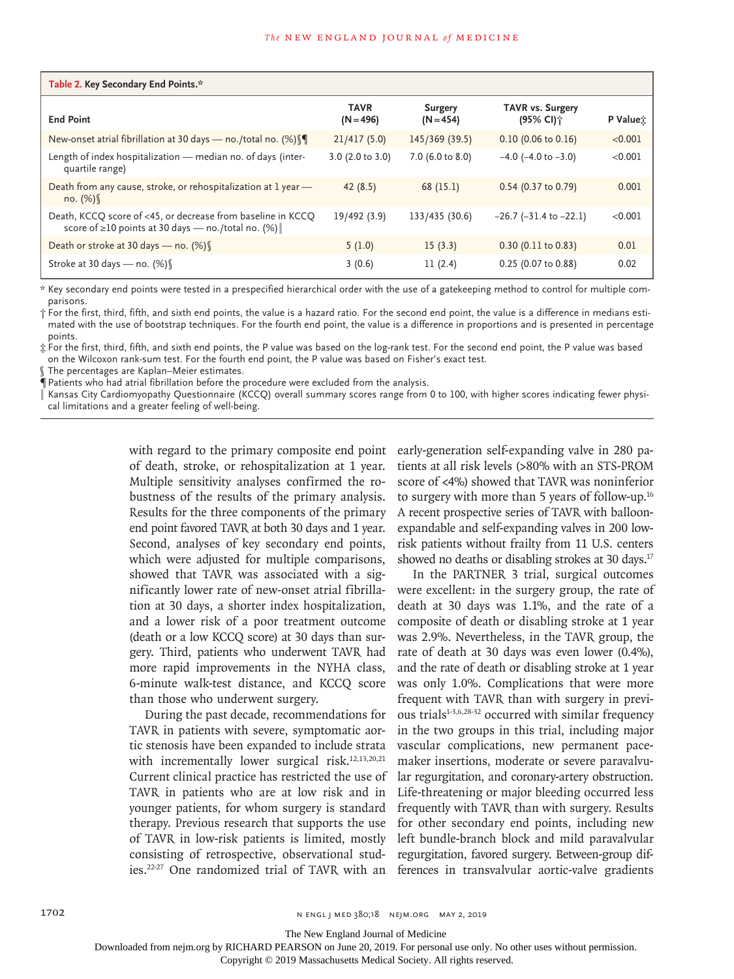| Table 2. Key Secondary End Points.*                                                                               |                            |                               |                                      |                      |  |  |  |
|-------------------------------------------------------------------------------------------------------------------|----------------------------|-------------------------------|--------------------------------------|----------------------|--|--|--|
| <b>End Point</b>                                                                                                  | <b>TAVR</b><br>$(N = 496)$ | <b>Surgery</b><br>$(N = 454)$ | <b>TAVR vs. Surgery</b><br>(95% CI)† | P Value <sub>X</sub> |  |  |  |
| New-onset atrial fibrillation at 30 days – no./total no. $(\%)$                                                   | 21/417(5.0)                | 145/369(39.5)                 | $0.10$ (0.06 to 0.16)                | < 0.001              |  |  |  |
| Length of index hospitalization - median no. of days (inter-<br>quartile range)                                   | 3.0 (2.0 to 3.0)           | 7.0 (6.0 to 8.0)              | $-4.0$ ( $-4.0$ to $-3.0$ )          | < 0.001              |  |  |  |
| Death from any cause, stroke, or rehospitalization at 1 year -<br>no. $(\%)$                                      | 42(8.5)                    | 68 (15.1)                     | $0.54$ (0.37 to 0.79)                | 0.001                |  |  |  |
| Death, KCCQ score of <45, or decrease from baseline in KCCQ<br>score of ≥10 points at 30 days - no./total no. (%) | 19/492 (3.9)               | 133/435 (30.6)                | $-26.7$ ( $-31.4$ to $-22.1$ )       | < 0.001              |  |  |  |
| Death or stroke at 30 days – no. $(\%)$                                                                           | 5(1.0)                     | 15(3.3)                       | $0.30$ (0.11 to 0.83)                | 0.01                 |  |  |  |
| Stroke at 30 days – no. $(\%)$                                                                                    | 3(0.6)                     | 11(2.4)                       | 0.25 (0.07 to 0.88)                  | 0.02                 |  |  |  |

\* Key secondary end points were tested in a prespecified hierarchical order with the use of a gatekeeping method to control for multiple comparisons.

† For the first, third, fifth, and sixth end points, the value is a hazard ratio. For the second end point, the value is a difference in medians estimated with the use of bootstrap techniques. For the fourth end point, the value is a difference in proportions and is presented in percentage points.

‡ For the first, third, fifth, and sixth end points, the P value was based on the log-rank test. For the second end point, the P value was based on the Wilcoxon rank-sum test. For the fourth end point, the P value was based on Fisher's exact test.

The percentages are Kaplan–Meier estimates.

¶ Patients who had atrial fibrillation before the procedure were excluded from the analysis.

Kansas City Cardiomyopathy Questionnaire (KCCQ) overall summary scores range from 0 to 100, with higher scores indicating fewer physical limitations and a greater feeling of well-being.

> with regard to the primary composite end point of death, stroke, or rehospitalization at 1 year. Multiple sensitivity analyses confirmed the robustness of the results of the primary analysis. Results for the three components of the primary end point favored TAVR at both 30 days and 1 year. Second, analyses of key secondary end points, which were adjusted for multiple comparisons, showed that TAVR was associated with a significantly lower rate of new-onset atrial fibrillation at 30 days, a shorter index hospitalization, and a lower risk of a poor treatment outcome (death or a low KCCQ score) at 30 days than surgery. Third, patients who underwent TAVR had more rapid improvements in the NYHA class, 6-minute walk-test distance, and KCCQ score than those who underwent surgery.

> During the past decade, recommendations for TAVR in patients with severe, symptomatic aortic stenosis have been expanded to include strata with incrementally lower surgical risk.<sup>12,13,20,21</sup> Current clinical practice has restricted the use of TAVR in patients who are at low risk and in younger patients, for whom surgery is standard therapy. Previous research that supports the use of TAVR in low-risk patients is limited, mostly consisting of retrospective, observational studies.22-27 One randomized trial of TAVR with an

early-generation self-expanding valve in 280 patients at all risk levels (>80% with an STS-PROM score of <4%) showed that TAVR was noninferior to surgery with more than 5 years of follow-up.16 A recent prospective series of TAVR with balloonexpandable and self-expanding valves in 200 lowrisk patients without frailty from 11 U.S. centers showed no deaths or disabling strokes at 30 days.<sup>17</sup>

In the PARTNER 3 trial, surgical outcomes were excellent: in the surgery group, the rate of death at 30 days was 1.1%, and the rate of a composite of death or disabling stroke at 1 year was 2.9%. Nevertheless, in the TAVR group, the rate of death at 30 days was even lower (0.4%), and the rate of death or disabling stroke at 1 year was only 1.0%. Complications that were more frequent with TAVR than with surgery in previous trials<sup>1-3,6,28-32</sup> occurred with similar frequency in the two groups in this trial, including major vascular complications, new permanent pacemaker insertions, moderate or severe paravalvular regurgitation, and coronary-artery obstruction. Life-threatening or major bleeding occurred less frequently with TAVR than with surgery. Results for other secondary end points, including new left bundle-branch block and mild paravalvular regurgitation, favored surgery. Between-group differences in transvalvular aortic-valve gradients

1702 **n engl j med 380;18 new SNS** n engl j med 380;18 nejm.org May 2, 2019

The New England Journal of Medicine

Downloaded from nejm.org by RICHARD PEARSON on June 20, 2019. For personal use only. No other uses without permission.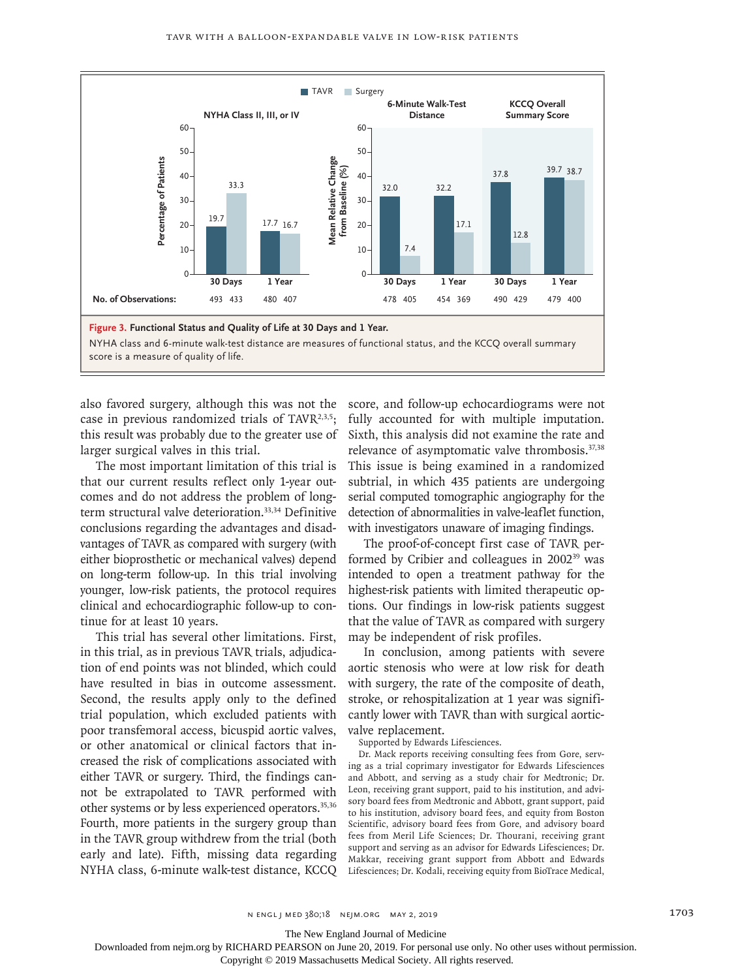

also favored surgery, although this was not the case in previous randomized trials of TAVR $2,3,5$ ; this result was probably due to the greater use of larger surgical valves in this trial.

The most important limitation of this trial is that our current results reflect only 1-year outcomes and do not address the problem of longterm structural valve deterioration.<sup>33,34</sup> Definitive conclusions regarding the advantages and disadvantages of TAVR as compared with surgery (with either bioprosthetic or mechanical valves) depend on long-term follow-up. In this trial involving younger, low-risk patients, the protocol requires clinical and echocardiographic follow-up to continue for at least 10 years.

This trial has several other limitations. First, in this trial, as in previous TAVR trials, adjudication of end points was not blinded, which could have resulted in bias in outcome assessment. Second, the results apply only to the defined trial population, which excluded patients with poor transfemoral access, bicuspid aortic valves, or other anatomical or clinical factors that increased the risk of complications associated with either TAVR or surgery. Third, the findings cannot be extrapolated to TAVR performed with other systems or by less experienced operators.<sup>35,36</sup> Fourth, more patients in the surgery group than in the TAVR group withdrew from the trial (both early and late). Fifth, missing data regarding NYHA class, 6-minute walk-test distance, KCCQ score, and follow-up echocardiograms were not fully accounted for with multiple imputation. Sixth, this analysis did not examine the rate and relevance of asymptomatic valve thrombosis.37,38 This issue is being examined in a randomized subtrial, in which 435 patients are undergoing serial computed tomographic angiography for the detection of abnormalities in valve-leaflet function, with investigators unaware of imaging findings.

The proof-of-concept first case of TAVR performed by Cribier and colleagues in 2002<sup>39</sup> was intended to open a treatment pathway for the highest-risk patients with limited therapeutic options. Our findings in low-risk patients suggest that the value of TAVR as compared with surgery may be independent of risk profiles.

In conclusion, among patients with severe aortic stenosis who were at low risk for death with surgery, the rate of the composite of death, stroke, or rehospitalization at 1 year was significantly lower with TAVR than with surgical aorticvalve replacement.

Supported by Edwards Lifesciences.

Dr. Mack reports receiving consulting fees from Gore, serving as a trial coprimary investigator for Edwards Lifesciences and Abbott, and serving as a study chair for Medtronic; Dr. Leon, receiving grant support, paid to his institution, and advisory board fees from Medtronic and Abbott, grant support, paid to his institution, advisory board fees, and equity from Boston Scientific, advisory board fees from Gore, and advisory board fees from Meril Life Sciences; Dr. Thourani, receiving grant support and serving as an advisor for Edwards Lifesciences; Dr. Makkar, receiving grant support from Abbott and Edwards Lifesciences; Dr. Kodali, receiving equity from BioTrace Medical,

The New England Journal of Medicine

Downloaded from nejm.org by RICHARD PEARSON on June 20, 2019. For personal use only. No other uses without permission.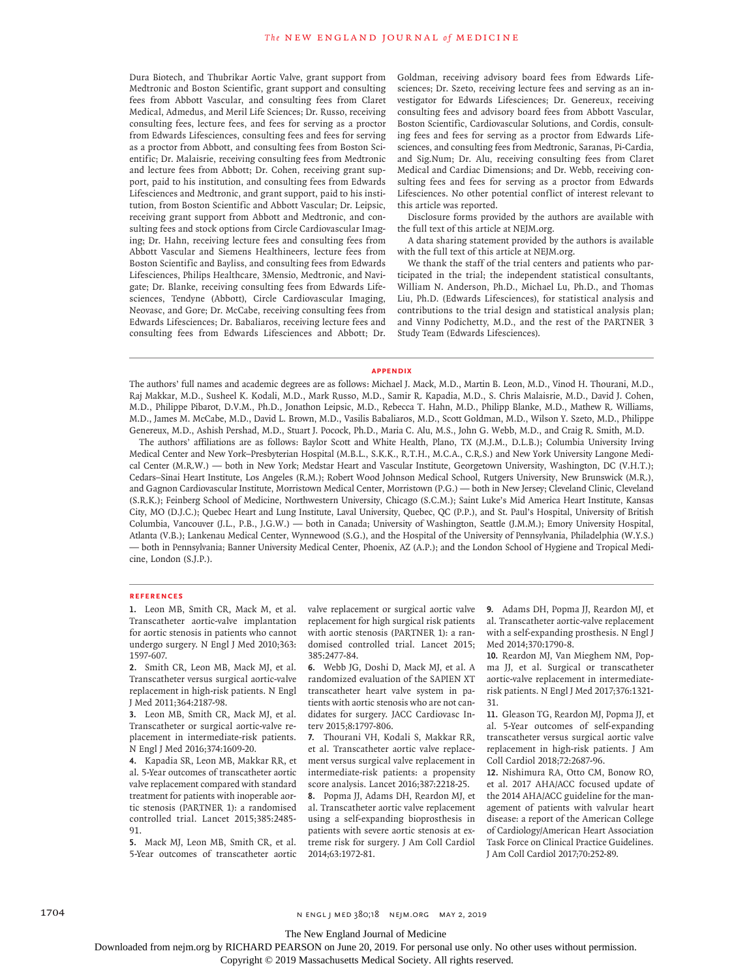Dura Biotech, and Thubrikar Aortic Valve, grant support from Medtronic and Boston Scientific, grant support and consulting fees from Abbott Vascular, and consulting fees from Claret Medical, Admedus, and Meril Life Sciences; Dr. Russo, receiving consulting fees, lecture fees, and fees for serving as a proctor from Edwards Lifesciences, consulting fees and fees for serving as a proctor from Abbott, and consulting fees from Boston Scientific; Dr. Malaisrie, receiving consulting fees from Medtronic and lecture fees from Abbott; Dr. Cohen, receiving grant support, paid to his institution, and consulting fees from Edwards Lifesciences and Medtronic, and grant support, paid to his institution, from Boston Scientific and Abbott Vascular; Dr. Leipsic, receiving grant support from Abbott and Medtronic, and consulting fees and stock options from Circle Cardiovascular Imaging; Dr. Hahn, receiving lecture fees and consulting fees from Abbott Vascular and Siemens Healthineers, lecture fees from Boston Scientific and Bayliss, and consulting fees from Edwards Lifesciences, Philips Healthcare, 3Mensio, Medtronic, and Navigate; Dr. Blanke, receiving consulting fees from Edwards Lifesciences, Tendyne (Abbott), Circle Cardiovascular Imaging, Neovasc, and Gore; Dr. McCabe, receiving consulting fees from Edwards Lifesciences; Dr. Babaliaros, receiving lecture fees and consulting fees from Edwards Lifesciences and Abbott; Dr.

Goldman, receiving advisory board fees from Edwards Lifesciences; Dr. Szeto, receiving lecture fees and serving as an investigator for Edwards Lifesciences; Dr. Genereux, receiving consulting fees and advisory board fees from Abbott Vascular, Boston Scientific, Cardiovascular Solutions, and Cordis, consulting fees and fees for serving as a proctor from Edwards Lifesciences, and consulting fees from Medtronic, Saranas, Pi-Cardia, and Sig.Num; Dr. Alu, receiving consulting fees from Claret Medical and Cardiac Dimensions; and Dr. Webb, receiving consulting fees and fees for serving as a proctor from Edwards Lifesciences. No other potential conflict of interest relevant to this article was reported.

Disclosure forms provided by the authors are available with the full text of this article at NEJM.org.

A data sharing statement provided by the authors is available with the full text of this article at NEJM.org.

We thank the staff of the trial centers and patients who participated in the trial; the independent statistical consultants, William N. Anderson, Ph.D., Michael Lu, Ph.D., and Thomas Liu, Ph.D. (Edwards Lifesciences), for statistical analysis and contributions to the trial design and statistical analysis plan; and Vinny Podichetty, M.D., and the rest of the PARTNER 3 Study Team (Edwards Lifesciences).

#### **Appendix**

The authors' full names and academic degrees are as follows: Michael J. Mack, M.D., Martin B. Leon, M.D., Vinod H. Thourani, M.D., Raj Makkar, M.D., Susheel K. Kodali, M.D., Mark Russo, M.D., Samir R. Kapadia, M.D., S. Chris Malaisrie, M.D., David J. Cohen, M.D., Philippe Pibarot, D.V.M., Ph.D., Jonathon Leipsic, M.D., Rebecca T. Hahn, M.D., Philipp Blanke, M.D., Mathew R. Williams, M.D., James M. McCabe, M.D., David L. Brown, M.D., Vasilis Babaliaros, M.D., Scott Goldman, M.D., Wilson Y. Szeto, M.D., Philippe Genereux, M.D., Ashish Pershad, M.D., Stuart J. Pocock, Ph.D., Maria C. Alu, M.S., John G. Webb, M.D., and Craig R. Smith, M.D.

The authors' affiliations are as follows: Baylor Scott and White Health, Plano, TX (M.J.M., D.L.B.); Columbia University Irving Medical Center and New York–Presbyterian Hospital (M.B.L., S.K.K., R.T.H., M.C.A., C.R.S.) and New York University Langone Medical Center (M.R.W.) — both in New York; Medstar Heart and Vascular Institute, Georgetown University, Washington, DC (V.H.T.); Cedars–Sinai Heart Institute, Los Angeles (R.M.); Robert Wood Johnson Medical School, Rutgers University, New Brunswick (M.R.), and Gagnon Cardiovascular Institute, Morristown Medical Center, Morristown (P.G.) — both in New Jersey; Cleveland Clinic, Cleveland (S.R.K.); Feinberg School of Medicine, Northwestern University, Chicago (S.C.M.); Saint Luke's Mid America Heart Institute, Kansas City, MO (D.J.C.); Quebec Heart and Lung Institute, Laval University, Quebec, QC (P.P.), and St. Paul's Hospital, University of British Columbia, Vancouver (J.L., P.B., J.G.W.) — both in Canada; University of Washington, Seattle (J.M.M.); Emory University Hospital, Atlanta (V.B.); Lankenau Medical Center, Wynnewood (S.G.), and the Hospital of the University of Pennsylvania, Philadelphia (W.Y.S.) — both in Pennsylvania; Banner University Medical Center, Phoenix, AZ (A.P.); and the London School of Hygiene and Tropical Medicine, London (S.J.P.).

#### **References**

**1.** Leon MB, Smith CR, Mack M, et al. Transcatheter aortic-valve implantation for aortic stenosis in patients who cannot undergo surgery. N Engl J Med 2010;363: 1597-607.

**2.** Smith CR, Leon MB, Mack MJ, et al. Transcatheter versus surgical aortic-valve replacement in high-risk patients. N Engl J Med 2011;364:2187-98.

**3.** Leon MB, Smith CR, Mack MJ, et al. Transcatheter or surgical aortic-valve replacement in intermediate-risk patients. N Engl J Med 2016;374:1609-20.

**4.** Kapadia SR, Leon MB, Makkar RR, et al. 5-Year outcomes of transcatheter aortic valve replacement compared with standard treatment for patients with inoperable aortic stenosis (PARTNER 1): a randomised controlled trial. Lancet 2015;385:2485- 91.

**5.** Mack MJ, Leon MB, Smith CR, et al. 5-Year outcomes of transcatheter aortic valve replacement or surgical aortic valve replacement for high surgical risk patients with aortic stenosis (PARTNER 1): a randomised controlled trial. Lancet 2015; 385:2477-84.

**6.** Webb JG, Doshi D, Mack MJ, et al. A randomized evaluation of the SAPIEN XT transcatheter heart valve system in patients with aortic stenosis who are not candidates for surgery. JACC Cardiovasc Interv 2015;8:1797-806.

**7.** Thourani VH, Kodali S, Makkar RR, et al. Transcatheter aortic valve replacement versus surgical valve replacement in intermediate-risk patients: a propensity score analysis. Lancet 2016;387:2218-25.

**8.** Popma JJ, Adams DH, Reardon MJ, et al. Transcatheter aortic valve replacement using a self-expanding bioprosthesis in patients with severe aortic stenosis at extreme risk for surgery. J Am Coll Cardiol 2014;63:1972-81.

**9.** Adams DH, Popma JJ, Reardon MJ, et al. Transcatheter aortic-valve replacement with a self-expanding prosthesis. N Engl J Med 2014;370:1790-8.

**10.** Reardon MJ, Van Mieghem NM, Popma JJ, et al. Surgical or transcatheter aortic-valve replacement in intermediaterisk patients. N Engl J Med 2017;376:1321- 31.

**11.** Gleason TG, Reardon MJ, Popma JJ, et al. 5-Year outcomes of self-expanding transcatheter versus surgical aortic valve replacement in high-risk patients. J Am Coll Cardiol 2018;72:2687-96.

**12.** Nishimura RA, Otto CM, Bonow RO, et al. 2017 AHA/ACC focused update of the 2014 AHA/ACC guideline for the management of patients with valvular heart disease: a report of the American College of Cardiology/American Heart Association Task Force on Clinical Practice Guidelines. J Am Coll Cardiol 2017;70:252-89.

1704 **n engl j med 380;18** n engl j med 380;18 nejm.org May 2, 2019

The New England Journal of Medicine

Downloaded from nejm.org by RICHARD PEARSON on June 20, 2019. For personal use only. No other uses without permission.